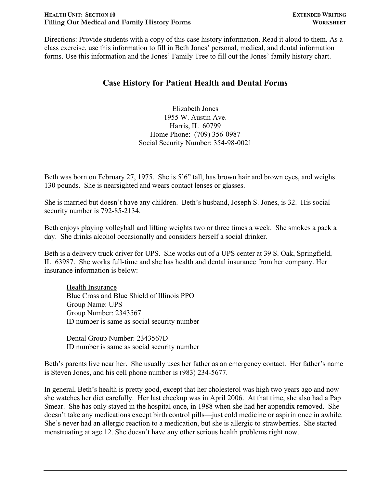#### **HEALTH UNIT: SECTION 10 EXTENDED WRITING** Filling Out Medical and Family History Forms **WORKSHEET**

Directions: Provide students with a copy of this case history information. Read it aloud to them. As a class exercise, use this information to fill in Beth Jones' personal, medical, and dental information forms. Use this information and the Jones' Family Tree to fill out the Jones' family history chart.

### **Case History for Patient Health and Dental Forms**

Elizabeth Jones 1955 W. Austin Ave. Harris, IL 60799 Home Phone: (709) 356-0987 Social Security Number: 354-98-0021

Beth was born on February 27, 1975. She is 5'6" tall, has brown hair and brown eyes, and weighs 130 pounds. She is nearsighted and wears contact lenses or glasses.

She is married but doesn't have any children. Beth's husband, Joseph S. Jones, is 32. His social security number is 792-85-2134.

Beth enjoys playing volleyball and lifting weights two or three times a week. She smokes a pack a day. She drinks alcohol occasionally and considers herself a social drinker.

Beth is a delivery truck driver for UPS. She works out of a UPS center at 39 S. Oak, Springfield, IL 63987. She works full-time and she has health and dental insurance from her company. Her insurance information is below:

Health Insurance Blue Cross and Blue Shield of Illinois PPO Group Name: UPS Group Number: 2343567 ID number is same as social security number

Dental Group Number: 2343567D ID number is same as social security number

Beth's parents live near her. She usually uses her father as an emergency contact. Her father's name is Steven Jones, and his cell phone number is (983) 234-5677.

In general, Beth's health is pretty good, except that her cholesterol was high two years ago and now she watches her diet carefully. Her last checkup was in April 2006. At that time, she also had a Pap Smear. She has only stayed in the hospital once, in 1988 when she had her appendix removed. She doesn't take any medications except birth control pills—just cold medicine or aspirin once in awhile. She's never had an allergic reaction to a medication, but she is allergic to strawberries. She started menstruating at age 12. She doesn't have any other serious health problems right now.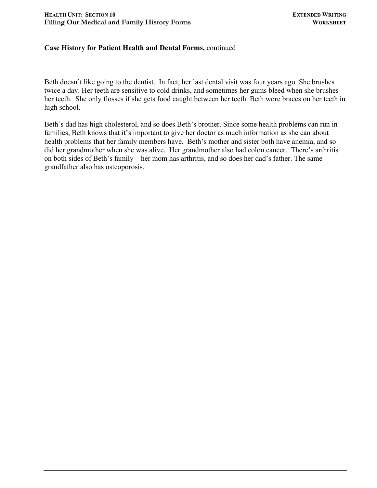#### **Case History for Patient Health and Dental Forms,** continued

Beth doesn't like going to the dentist. In fact, her last dental visit was four years ago. She brushes twice a day. Her teeth are sensitive to cold drinks, and sometimes her gums bleed when she brushes her teeth. She only flosses if she gets food caught between her teeth. Beth wore braces on her teeth in high school.

Beth's dad has high cholesterol, and so does Beth's brother. Since some health problems can run in families, Beth knows that it's important to give her doctor as much information as she can about health problems that her family members have. Beth's mother and sister both have anemia, and so did her grandmother when she was alive. Her grandmother also had colon cancer. There's arthritis on both sides of Beth's family—her mom has arthritis, and so does her dad's father. The same grandfather also has osteoporosis.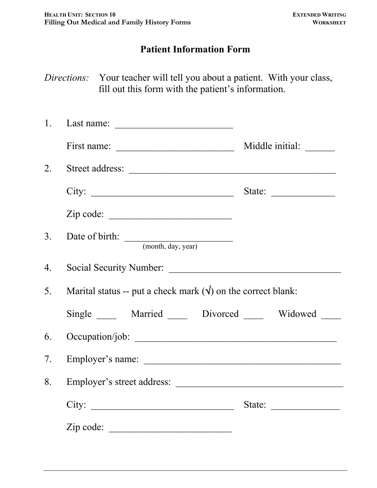## **Patient Information Form**

*Directions:* Your teacher will tell you about a patient. With your class, fill out this form with the patient's information.

|                  | 1. Last name: $\overline{\phantom{a}}$                               |                                                           |
|------------------|----------------------------------------------------------------------|-----------------------------------------------------------|
|                  |                                                                      |                                                           |
| 2.               | Street address:                                                      |                                                           |
|                  | City:                                                                | State:                                                    |
|                  | $\mathsf{Zip code: }$                                                |                                                           |
| 3.               | Date of birth: <u>(month, day, year)</u>                             |                                                           |
| $\overline{4}$ . |                                                                      |                                                           |
| 5 <sub>1</sub>   | Marital status -- put a check mark $(\forall)$ on the correct blank: |                                                           |
|                  | Single ______ Married ______ Divorced ______ Widowed _____           |                                                           |
| 6.               |                                                                      |                                                           |
| $7_{\cdot}$      | Employer's name:                                                     |                                                           |
| 8.               |                                                                      |                                                           |
|                  | City:                                                                | State: $\frac{1}{\sqrt{1-\frac{1}{2}} \cdot \frac{1}{2}}$ |
|                  | Zip code:                                                            |                                                           |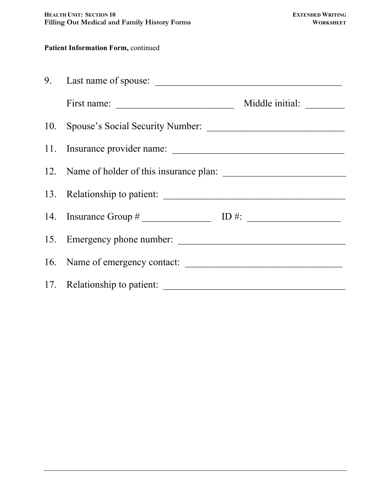### **Patient Information Form, continued**

| 11. Insurance provider name:               |  |  |
|--------------------------------------------|--|--|
| 12. Name of holder of this insurance plan: |  |  |
|                                            |  |  |
|                                            |  |  |
| 15. Emergency phone number:                |  |  |
|                                            |  |  |
|                                            |  |  |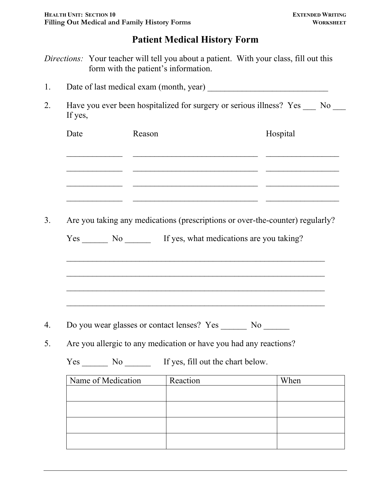# **Patient Medical History Form**

*Directions:* Your teacher will tell you about a patient. With your class, fill out this form with the patient's information.

|  | Date of last medical exam (month, year) |  |  |
|--|-----------------------------------------|--|--|
|--|-----------------------------------------|--|--|

2. Have you ever been hospitalized for surgery or serious illness? Yes \_\_\_ No \_\_\_ If yes,

| Date | Reason |                                                                               | Hospital |
|------|--------|-------------------------------------------------------------------------------|----------|
|      |        |                                                                               |          |
|      |        |                                                                               |          |
|      |        |                                                                               |          |
|      |        | Are you taking any medications (prescriptions or over-the-counter) regularly? |          |
|      |        | Yes _________ No ____________ If yes, what medications are you taking?        |          |
|      |        |                                                                               |          |
|      |        |                                                                               |          |
|      |        |                                                                               |          |
|      |        |                                                                               |          |
|      |        |                                                                               |          |
|      |        | Do you wear glasses or contact lenses? Yes No                                 |          |
|      |        | Are you allergic to any medication or have you had any reactions?             |          |
|      |        |                                                                               |          |

| reaction | VV LICII |
|----------|----------|
|          |          |
|          |          |
|          |          |
|          |          |
|          |          |
|          |          |
|          |          |
|          |          |
|          |          |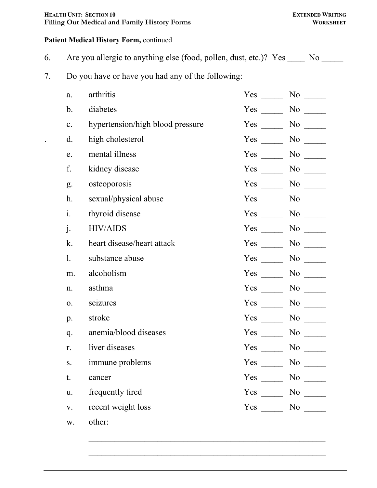#### **HEALTH UNIT: SECTION 10 EXTENDED WRITING** Filling Out Medical and Family History Forms **WORKSHEET**

### **Patient Medical History Form,** continued

- 6. Are you allergic to anything else (food, pollen, dust, etc.)? Yes \_\_\_\_ No \_\_\_\_
- 7. Do you have or have you had any of the following:

| a.             | arthritis                        | Yes        | N <sub>0</sub>             |
|----------------|----------------------------------|------------|----------------------------|
| $\mathbf b$ .  | diabetes                         | Yes        | No                         |
| $\mathbf{c}$ . | hypertension/high blood pressure | Yes        | N <sub>o</sub>             |
| $\mathbf{d}$ . | high cholesterol                 | Yes        | N <sub>0</sub>             |
| e.             | mental illness                   | Yes        | N <sub>o</sub>             |
| f.             | kidney disease                   | Yes        |                            |
| g.             | osteoporosis                     | $Yes \t —$ | No                         |
| h.             | sexual/physical abuse            | $Yes \t —$ |                            |
| i.             | thyroid disease                  | $Yes \t —$ |                            |
| j.             | <b>HIV/AIDS</b>                  | Yes        |                            |
| k.             | heart disease/heart attack       | Yes        |                            |
| 1.             | substance abuse                  | Yes        | No                         |
| m.             | alcoholism                       | Yes        | No                         |
| n.             | asthma                           | Yes        | $No \_\_$                  |
| 0.             | seizures                         | Yes        | N <sub>0</sub>             |
| p.             | stroke                           | Yes        | N <sub>0</sub>             |
| q.             | anemia/blood diseases            | Yes        | N <sub>o</sub>             |
| r.             | liver diseases                   | Yes        | N <sub>0</sub>             |
| S.             | immune problems                  | Yes        | N <sub>0</sub>             |
| t.             | cancer                           |            | $Yes \_\_\_\_ No \_\_\_\_$ |
| u.             | frequently tired                 |            | $Yes \_\_ No \_\_$         |
| $\mathbf{V}.$  | recent weight loss               |            | $Yes \_\_ No \_\_$         |
| W.             | other:                           |            |                            |

 $\mathcal{L}_\text{max}$  , and the contract of the contract of the contract of the contract of the contract of the contract of the contract of the contract of the contract of the contract of the contract of the contract of the contr

 $\mathcal{L}_\text{max}$  and the contract of the contract of the contract of the contract of the contract of the contract of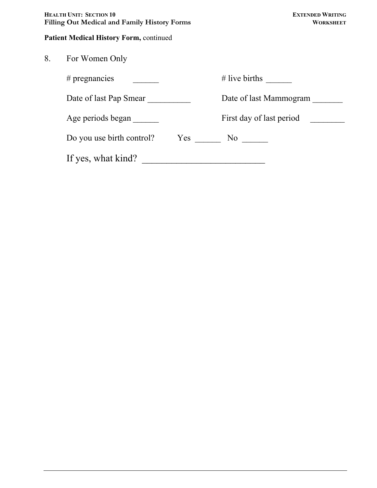| Health Unit: Section 10                             | <b>EXTENDED WRITING</b> |
|-----------------------------------------------------|-------------------------|
| <b>Filling Out Medical and Family History Forms</b> | <b>WORKSHEET</b>        |

### **Patient Medical History Form,** continued

| 8. | For Women Only                   |                          |
|----|----------------------------------|--------------------------|
|    | $#$ pregnancies                  | $#$ live births          |
|    | Date of last Pap Smear           | Date of last Mammogram   |
|    | Age periods began                | First day of last period |
|    | Do you use birth control?<br>Yes | No no                    |
|    | If yes, what kind?               |                          |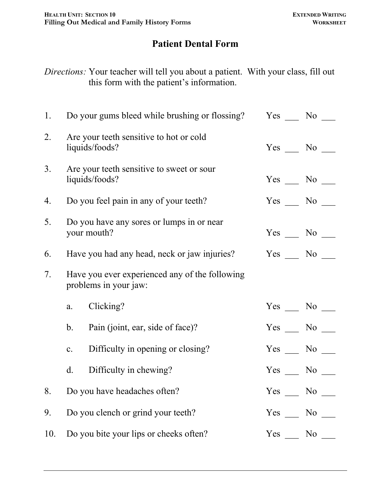# **Patient Dental Form**

*Directions:* Your teacher will tell you about a patient. With your class, fill out this form with the patient's information.

| 1.             |                                                                         | Do your gums bleed while brushing or flossing?              |                    | $Yes \_ No \_$     |
|----------------|-------------------------------------------------------------------------|-------------------------------------------------------------|--------------------|--------------------|
| 2.             |                                                                         | Are your teeth sensitive to hot or cold<br>liquids/foods?   | $Yes \_\_ No \_\_$ |                    |
| 3 <sub>1</sub> |                                                                         | Are your teeth sensitive to sweet or sour<br>liquids/foods? |                    | $Yes \_\_ No \_\_$ |
| 4.             |                                                                         | Do you feel pain in any of your teeth?                      |                    | $Yes \_\_ No \_\_$ |
| 5.             |                                                                         | Do you have any sores or lumps in or near<br>your mouth?    |                    | $Yes \_ No \_$     |
| 6.             |                                                                         | Have you had any head, neck or jaw injuries?                |                    | Yes No             |
| 7.             | Have you ever experienced any of the following<br>problems in your jaw: |                                                             |                    |                    |
|                | a.                                                                      | Clicking?                                                   |                    | $Yes \_\_ No \_\_$ |
|                | b.                                                                      | Pain (joint, ear, side of face)?                            |                    | $Yes$ No $No$      |
|                | $\mathbf{c}$ .                                                          | Difficulty in opening or closing?                           |                    | Yes No             |
|                | d.                                                                      | Difficulty in chewing?                                      |                    | Yes No             |
| 8.             |                                                                         | Do you have headaches often?                                |                    | Yes No             |
| 9.             |                                                                         | Do you clench or grind your teeth?                          |                    | Yes No             |
| 10.            |                                                                         | Do you bite your lips or cheeks often?                      | Yes                | No No              |